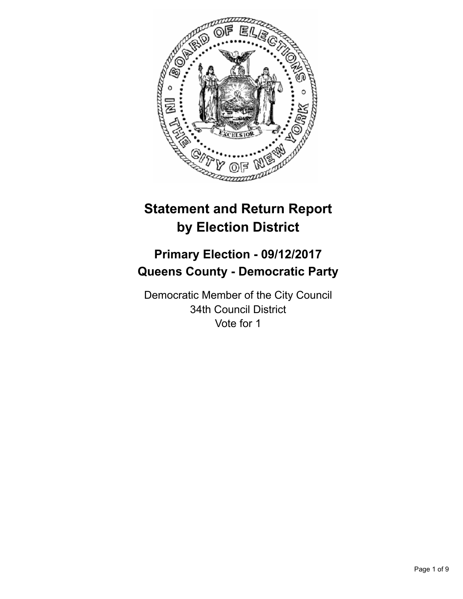

# **Statement and Return Report by Election District**

## **Primary Election - 09/12/2017 Queens County - Democratic Party**

Democratic Member of the City Council 34th Council District Vote for 1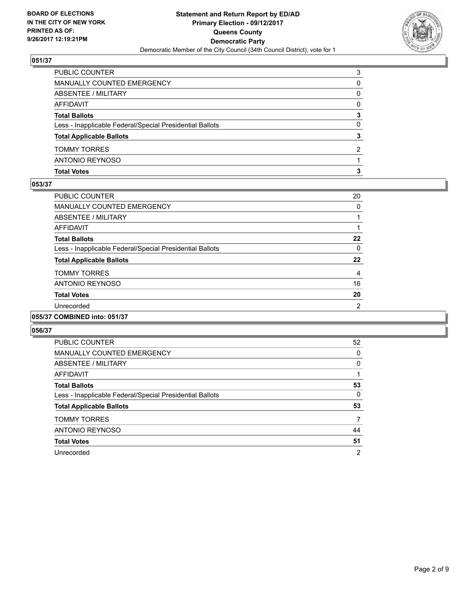

| <b>Total Votes</b>                                       | з        |
|----------------------------------------------------------|----------|
| ANTONIO REYNOSO                                          |          |
| <b>TOMMY TORRES</b>                                      | 2        |
| <b>Total Applicable Ballots</b>                          | 3        |
| Less - Inapplicable Federal/Special Presidential Ballots | 0        |
| <b>Total Ballots</b>                                     | 3        |
| AFFIDAVIT                                                | $\Omega$ |
| <b>ABSENTEE / MILITARY</b>                               | 0        |
| MANUALLY COUNTED EMERGENCY                               | 0        |
| PUBLIC COUNTER                                           | 3        |

#### **053/37**

| <b>PUBLIC COUNTER</b>                                    | 20             |
|----------------------------------------------------------|----------------|
| <b>MANUALLY COUNTED EMERGENCY</b>                        | 0              |
| ABSENTEE / MILITARY                                      |                |
| AFFIDAVIT                                                |                |
| <b>Total Ballots</b>                                     | 22             |
| Less - Inapplicable Federal/Special Presidential Ballots | 0              |
| <b>Total Applicable Ballots</b>                          | 22             |
| <b>TOMMY TORRES</b>                                      | 4              |
| ANTONIO REYNOSO                                          | 16             |
| <b>Total Votes</b>                                       | 20             |
| Unrecorded                                               | $\overline{2}$ |
| 055/37 COMBINED into: 051/37                             |                |

| <b>PUBLIC COUNTER</b>                                    | 52             |
|----------------------------------------------------------|----------------|
| <b>MANUALLY COUNTED EMERGENCY</b>                        | 0              |
| ABSENTEE / MILITARY                                      | 0              |
| AFFIDAVIT                                                |                |
| <b>Total Ballots</b>                                     | 53             |
| Less - Inapplicable Federal/Special Presidential Ballots | 0              |
| <b>Total Applicable Ballots</b>                          | 53             |
| <b>TOMMY TORRES</b>                                      | 7              |
| <b>ANTONIO REYNOSO</b>                                   | 44             |
| <b>Total Votes</b>                                       | 51             |
| Unrecorded                                               | $\overline{2}$ |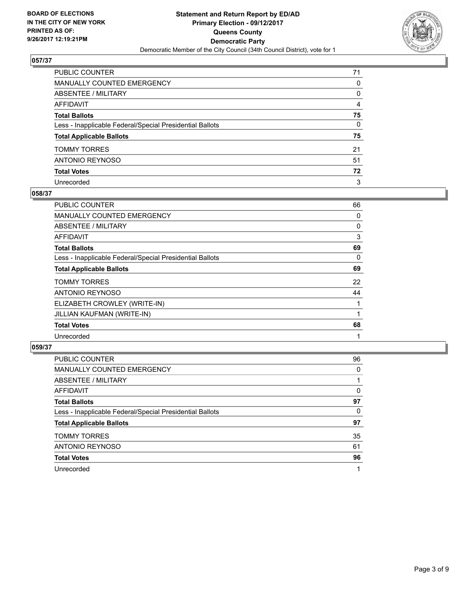

| PUBLIC COUNTER                                           | 71           |
|----------------------------------------------------------|--------------|
| MANUALLY COUNTED EMERGENCY                               | $\mathbf{0}$ |
| ABSENTEE / MILITARY                                      | 0            |
| AFFIDAVIT                                                | 4            |
| Total Ballots                                            | 75           |
| Less - Inapplicable Federal/Special Presidential Ballots | $\mathbf{0}$ |
| <b>Total Applicable Ballots</b>                          | 75           |
| TOMMY TORRES                                             | 21           |
| ANTONIO REYNOSO                                          | 51           |
| <b>Total Votes</b>                                       | 72           |
| Unrecorded                                               | 3            |

#### **058/37**

| <b>PUBLIC COUNTER</b>                                    | 66 |
|----------------------------------------------------------|----|
| <b>MANUALLY COUNTED EMERGENCY</b>                        | 0  |
| ABSENTEE / MILITARY                                      | 0  |
| AFFIDAVIT                                                | 3  |
| <b>Total Ballots</b>                                     | 69 |
| Less - Inapplicable Federal/Special Presidential Ballots | 0  |
| <b>Total Applicable Ballots</b>                          | 69 |
| <b>TOMMY TORRES</b>                                      | 22 |
| ANTONIO REYNOSO                                          | 44 |
| ELIZABETH CROWLEY (WRITE-IN)                             |    |
| JILLIAN KAUFMAN (WRITE-IN)                               |    |
| <b>Total Votes</b>                                       | 68 |
| Unrecorded                                               |    |

| <b>PUBLIC COUNTER</b>                                    | 96 |
|----------------------------------------------------------|----|
| <b>MANUALLY COUNTED EMERGENCY</b>                        | 0  |
| ABSENTEE / MILITARY                                      |    |
| AFFIDAVIT                                                | 0  |
| <b>Total Ballots</b>                                     | 97 |
| Less - Inapplicable Federal/Special Presidential Ballots | 0  |
| <b>Total Applicable Ballots</b>                          | 97 |
| <b>TOMMY TORRES</b>                                      | 35 |
| ANTONIO REYNOSO                                          | 61 |
| <b>Total Votes</b>                                       | 96 |
| Unrecorded                                               |    |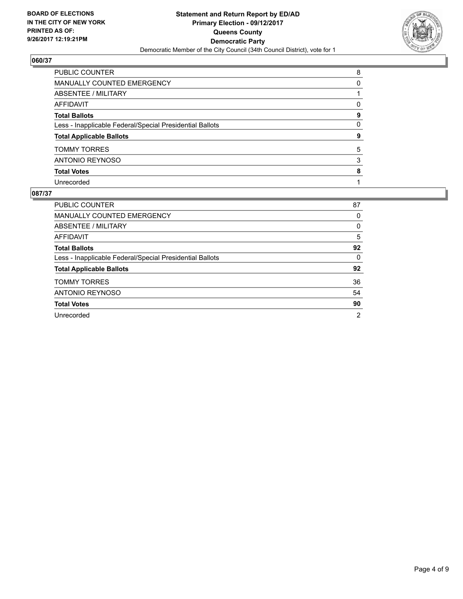

| PUBLIC COUNTER                                           | 8        |
|----------------------------------------------------------|----------|
| MANUALLY COUNTED EMERGENCY                               | 0        |
| <b>ABSENTEE / MILITARY</b>                               |          |
| <b>AFFIDAVIT</b>                                         | $\Omega$ |
| <b>Total Ballots</b>                                     | 9        |
| Less - Inapplicable Federal/Special Presidential Ballots | 0        |
| <b>Total Applicable Ballots</b>                          | 9        |
| <b>TOMMY TORRES</b>                                      | 5        |
| ANTONIO REYNOSO                                          | 3        |
| <b>Total Votes</b>                                       | 8        |
| Unrecorded                                               |          |

| <b>PUBLIC COUNTER</b>                                    | 87             |
|----------------------------------------------------------|----------------|
| MANUALLY COUNTED EMERGENCY                               | 0              |
| ABSENTEE / MILITARY                                      | 0              |
| AFFIDAVIT                                                | 5              |
| <b>Total Ballots</b>                                     | 92             |
| Less - Inapplicable Federal/Special Presidential Ballots | 0              |
| <b>Total Applicable Ballots</b>                          | 92             |
| <b>TOMMY TORRES</b>                                      | 36             |
| ANTONIO REYNOSO                                          | 54             |
| <b>Total Votes</b>                                       | 90             |
| Unrecorded                                               | $\overline{2}$ |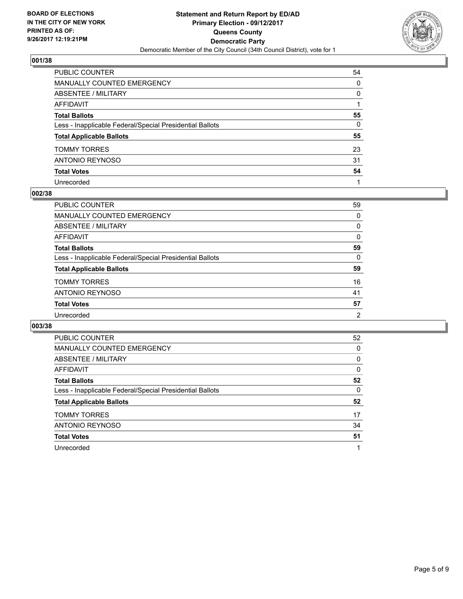

| PUBLIC COUNTER                                           | 54       |
|----------------------------------------------------------|----------|
| MANUALLY COUNTED EMERGENCY                               | $\Omega$ |
| <b>ABSENTEE / MILITARY</b>                               | $\Omega$ |
| <b>AFFIDAVIT</b>                                         |          |
| <b>Total Ballots</b>                                     | 55       |
| Less - Inapplicable Federal/Special Presidential Ballots | 0        |
| <b>Total Applicable Ballots</b>                          | 55       |
| <b>TOMMY TORRES</b>                                      | 23       |
| ANTONIO REYNOSO                                          | 31       |
| <b>Total Votes</b>                                       | 54       |
| Unrecorded                                               |          |

#### **002/38**

| PUBLIC COUNTER                                           | 59 |
|----------------------------------------------------------|----|
| MANUALLY COUNTED EMERGENCY                               | 0  |
| ABSENTEE / MILITARY                                      | 0  |
| AFFIDAVIT                                                | 0  |
| <b>Total Ballots</b>                                     | 59 |
| Less - Inapplicable Federal/Special Presidential Ballots | 0  |
| <b>Total Applicable Ballots</b>                          | 59 |
| <b>TOMMY TORRES</b>                                      | 16 |
| ANTONIO REYNOSO                                          | 41 |
| <b>Total Votes</b>                                       | 57 |
| Unrecorded                                               | 2  |

| <b>PUBLIC COUNTER</b>                                    | 52 |
|----------------------------------------------------------|----|
| <b>MANUALLY COUNTED EMERGENCY</b>                        | 0  |
| <b>ABSENTEE / MILITARY</b>                               | 0  |
| <b>AFFIDAVIT</b>                                         | 0  |
| <b>Total Ballots</b>                                     | 52 |
| Less - Inapplicable Federal/Special Presidential Ballots | 0  |
| <b>Total Applicable Ballots</b>                          | 52 |
| <b>TOMMY TORRES</b>                                      | 17 |
| <b>ANTONIO REYNOSO</b>                                   | 34 |
| <b>Total Votes</b>                                       | 51 |
| Unrecorded                                               | 1  |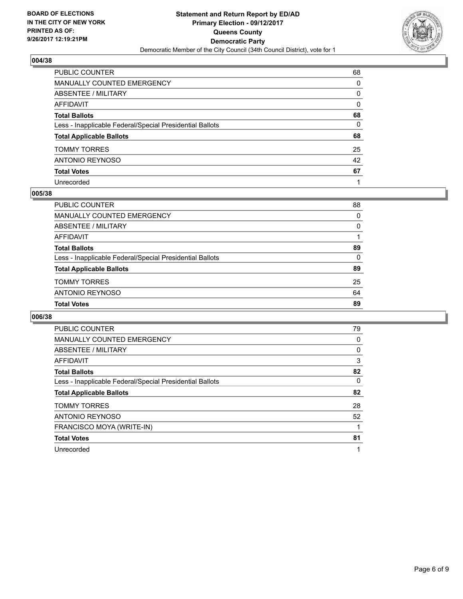

| PUBLIC COUNTER                                           | 68           |
|----------------------------------------------------------|--------------|
| <b>MANUALLY COUNTED EMERGENCY</b>                        | $\mathbf{0}$ |
| ABSENTEE / MILITARY                                      | 0            |
| AFFIDAVIT                                                | $\mathbf{0}$ |
| <b>Total Ballots</b>                                     | 68           |
| Less - Inapplicable Federal/Special Presidential Ballots | 0            |
| <b>Total Applicable Ballots</b>                          | 68           |
| <b>TOMMY TORRES</b>                                      | 25           |
| <b>ANTONIO REYNOSO</b>                                   | 42           |
| <b>Total Votes</b>                                       | 67           |
| Unrecorded                                               |              |

#### **005/38**

| <b>Total Votes</b>                                       | 89 |
|----------------------------------------------------------|----|
| ANTONIO REYNOSO                                          | 64 |
| <b>TOMMY TORRES</b>                                      | 25 |
| <b>Total Applicable Ballots</b>                          | 89 |
| Less - Inapplicable Federal/Special Presidential Ballots | 0  |
| <b>Total Ballots</b>                                     | 89 |
| AFFIDAVIT                                                |    |
| ABSENTEE / MILITARY                                      | 0  |
| MANUALLY COUNTED EMERGENCY                               | 0  |
| PUBLIC COUNTER                                           | 88 |

| PUBLIC COUNTER                                           | 79 |
|----------------------------------------------------------|----|
| <b>MANUALLY COUNTED EMERGENCY</b>                        | 0  |
| ABSENTEE / MILITARY                                      | 0  |
| AFFIDAVIT                                                | 3  |
| <b>Total Ballots</b>                                     | 82 |
| Less - Inapplicable Federal/Special Presidential Ballots | 0  |
| <b>Total Applicable Ballots</b>                          | 82 |
| <b>TOMMY TORRES</b>                                      | 28 |
| ANTONIO REYNOSO                                          | 52 |
| FRANCISCO MOYA (WRITE-IN)                                |    |
| <b>Total Votes</b>                                       | 81 |
| Unrecorded                                               | 1  |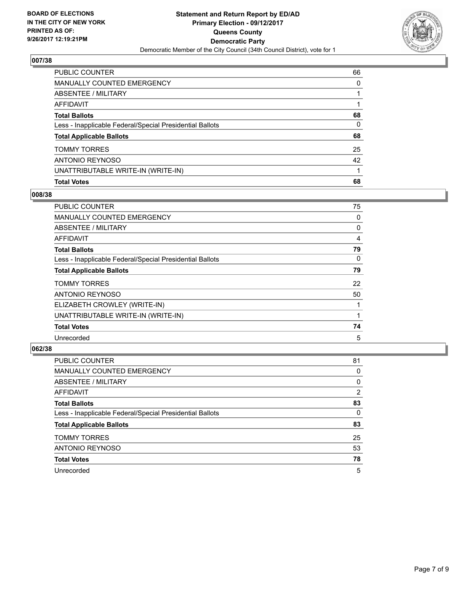

| PUBLIC COUNTER                                           | 66 |
|----------------------------------------------------------|----|
| <b>MANUALLY COUNTED EMERGENCY</b>                        | 0  |
| <b>ABSENTEE / MILITARY</b>                               |    |
| <b>AFFIDAVIT</b>                                         |    |
| <b>Total Ballots</b>                                     | 68 |
| Less - Inapplicable Federal/Special Presidential Ballots | 0  |
| <b>Total Applicable Ballots</b>                          | 68 |
| <b>TOMMY TORRES</b>                                      | 25 |
| <b>ANTONIO REYNOSO</b>                                   | 42 |
| UNATTRIBUTABLE WRITE-IN (WRITE-IN)                       |    |
| <b>Total Votes</b>                                       | 68 |

## **008/38**

| <b>PUBLIC COUNTER</b>                                    | 75 |
|----------------------------------------------------------|----|
| <b>MANUALLY COUNTED EMERGENCY</b>                        | 0  |
| ABSENTEE / MILITARY                                      | 0  |
| AFFIDAVIT                                                | 4  |
| <b>Total Ballots</b>                                     | 79 |
| Less - Inapplicable Federal/Special Presidential Ballots | 0  |
| <b>Total Applicable Ballots</b>                          | 79 |
| <b>TOMMY TORRES</b>                                      | 22 |
| ANTONIO REYNOSO                                          | 50 |
| ELIZABETH CROWLEY (WRITE-IN)                             |    |
| UNATTRIBUTABLE WRITE-IN (WRITE-IN)                       |    |
| <b>Total Votes</b>                                       | 74 |
| Unrecorded                                               | 5  |

| <b>PUBLIC COUNTER</b>                                    | 81 |
|----------------------------------------------------------|----|
| <b>MANUALLY COUNTED EMERGENCY</b>                        | 0  |
| ABSENTEE / MILITARY                                      | 0  |
| AFFIDAVIT                                                | 2  |
| <b>Total Ballots</b>                                     | 83 |
| Less - Inapplicable Federal/Special Presidential Ballots | 0  |
| <b>Total Applicable Ballots</b>                          | 83 |
| <b>TOMMY TORRES</b>                                      | 25 |
| ANTONIO REYNOSO                                          | 53 |
| <b>Total Votes</b>                                       | 78 |
| Unrecorded                                               | 5  |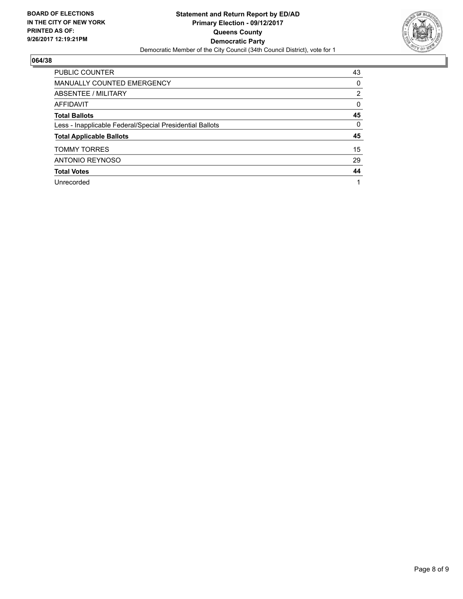

| <b>PUBLIC COUNTER</b>                                    | 43             |
|----------------------------------------------------------|----------------|
| <b>MANUALLY COUNTED EMERGENCY</b>                        | 0              |
| ABSENTEE / MILITARY                                      | $\overline{2}$ |
| <b>AFFIDAVIT</b>                                         | 0              |
| <b>Total Ballots</b>                                     | 45             |
| Less - Inapplicable Federal/Special Presidential Ballots | 0              |
| <b>Total Applicable Ballots</b>                          | 45             |
| <b>TOMMY TORRES</b>                                      | 15             |
| <b>ANTONIO REYNOSO</b>                                   | 29             |
| <b>Total Votes</b>                                       | 44             |
| Unrecorded                                               |                |